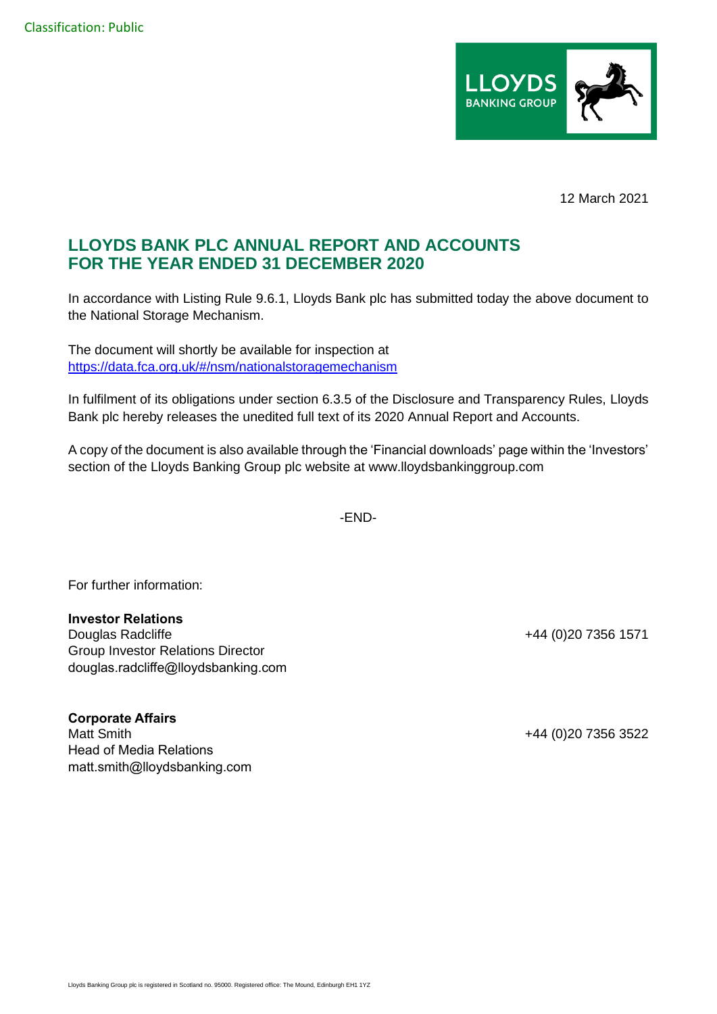

12 March 2021

## **LLOYDS BANK PLC ANNUAL REPORT AND ACCOUNTS FOR THE YEAR ENDED 31 DECEMBER 2020**

In accordance with Listing Rule 9.6.1, Lloyds Bank plc has submitted today the above document to the National Storage Mechanism.

The document will shortly be available for inspection at [https://data.fca.org.uk/#/nsm/nationalstoragemechanism](https://eur02.safelinks.protection.outlook.com/?url=https%3A%2F%2Fdata.fca.org.uk%2F%23%2Fnsm%2Fnationalstoragemechanism&data=04%7C01%7CHannah.Boore%40lloydsbanking.com%7Cf478194d493f4e2a726008d8da6543d3%7C3ded2960214a46ff8cf4611f125e2398%7C0%7C0%7C637499475745921990%7CUnknown%7CTWFpbGZsb3d8eyJWIjoiMC4wLjAwMDAiLCJQIjoiV2luMzIiLCJBTiI6Ik1haWwiLCJXVCI6Mn0%3D%7C1000&sdata=HKhpYPA9fSsjBwiR9NG1EHWMP7vx2WpuAJN%2B%2Fq4Pee0%3D&reserved=0)

In fulfilment of its obligations under section 6.3.5 of the Disclosure and Transparency Rules, Lloyds Bank plc hereby releases the unedited full text of its 2020 Annual Report and Accounts.

A copy of the document is also available through the 'Financial downloads' page within the 'Investors' section of the Lloyds Banking Group plc website at www.lloydsbankinggroup.com

-END-

For further information:

## **Investor Relations**

Douglas Radcliffe **+44** (0)20 7356 1571 Group Investor Relations Director douglas.radcliffe@lloydsbanking.com

**Corporate Affairs** Matt Smith +44 (0)20 7356 3522 Head of Media Relations matt.smith@lloydsbanking.com